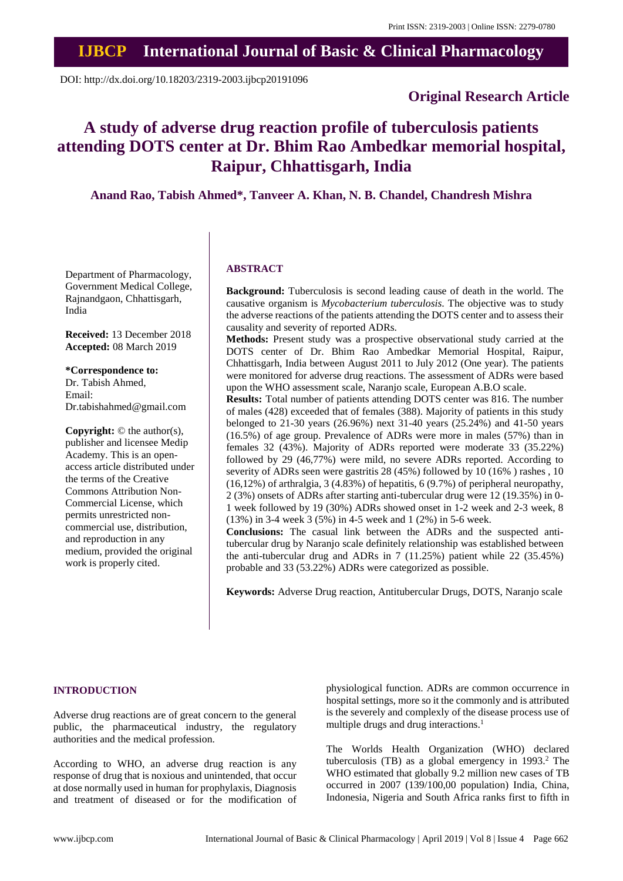# **IJBCP International Journal of Basic & Clinical Pharmacology**

DOI: http://dx.doi.org/10.18203/2319-2003.ijbcp20191096

## **Original Research Article**

## **A study of adverse drug reaction profile of tuberculosis patients attending DOTS center at Dr. Bhim Rao Ambedkar memorial hospital, Raipur, Chhattisgarh, India**

**Anand Rao, Tabish Ahmed\*, Tanveer A. Khan, N. B. Chandel, Chandresh Mishra**

Department of Pharmacology, Government Medical College, Rajnandgaon, Chhattisgarh, India

**Received:** 13 December 2018 **Accepted:** 08 March 2019

## **\*Correspondence to:**

Dr. Tabish Ahmed, Email: Dr.tabishahmed@gmail.com

**Copyright:** © the author(s), publisher and licensee Medip Academy. This is an openaccess article distributed under the terms of the Creative Commons Attribution Non-Commercial License, which permits unrestricted noncommercial use, distribution, and reproduction in any medium, provided the original work is properly cited.

#### **ABSTRACT**

**Background:** Tuberculosis is second leading cause of death in the world. The causative organism is *Mycobacterium tuberculosis*. The objective was to study the adverse reactions of the patients attending the DOTS center and to assess their causality and severity of reported ADRs.

**Methods:** Present study was a prospective observational study carried at the DOTS center of Dr. Bhim Rao Ambedkar Memorial Hospital, Raipur, Chhattisgarh, India between August 2011 to July 2012 (One year). The patients were monitored for adverse drug reactions. The assessment of ADRs were based upon the WHO assessment scale, Naranjo scale, European A.B.O scale.

**Results:** Total number of patients attending DOTS center was 816. The number of males (428) exceeded that of females (388). Majority of patients in this study belonged to 21-30 years (26.96%) next 31-40 years (25.24%) and 41-50 years (16.5%) of age group. Prevalence of ADRs were more in males (57%) than in females 32 (43%). Majority of ADRs reported were moderate 33 (35.22%) followed by 29 (46,77%) were mild, no severe ADRs reported. According to severity of ADRs seen were gastritis 28 (45%) followed by 10 (16% ) rashes , 10 (16,12%) of arthralgia, 3 (4.83%) of hepatitis, 6 (9.7%) of peripheral neuropathy, 2 (3%) onsets of ADRs after starting anti-tubercular drug were 12 (19.35%) in 0- 1 week followed by 19 (30%) ADRs showed onset in 1-2 week and 2-3 week, 8 (13%) in 3-4 week 3 (5%) in 4-5 week and 1 (2%) in 5-6 week.

**Conclusions:** The casual link between the ADRs and the suspected antitubercular drug by Naranjo scale definitely relationship was established between the anti-tubercular drug and ADRs in 7 (11.25%) patient while 22 (35.45%) probable and 33 (53.22%) ADRs were categorized as possible.

**Keywords:** Adverse Drug reaction, Antitubercular Drugs, DOTS, Naranjo scale

#### **INTRODUCTION**

Adverse drug reactions are of great concern to the general public, the pharmaceutical industry, the regulatory authorities and the medical profession.

According to WHO, an adverse drug reaction is any response of drug that is noxious and unintended, that occur at dose normally used in human for prophylaxis, Diagnosis and treatment of diseased or for the modification of physiological function. ADRs are common occurrence in hospital settings, more so it the commonly and is attributed is the severely and complexly of the disease process use of multiple drugs and drug interactions.<sup>1</sup>

The Worlds Health Organization (WHO) declared tuberculosis (TB) as a global emergency in 1993.<sup>2</sup> The WHO estimated that globally 9.2 million new cases of TB occurred in 2007 (139/100,00 population) India, China, Indonesia, Nigeria and South Africa ranks first to fifth in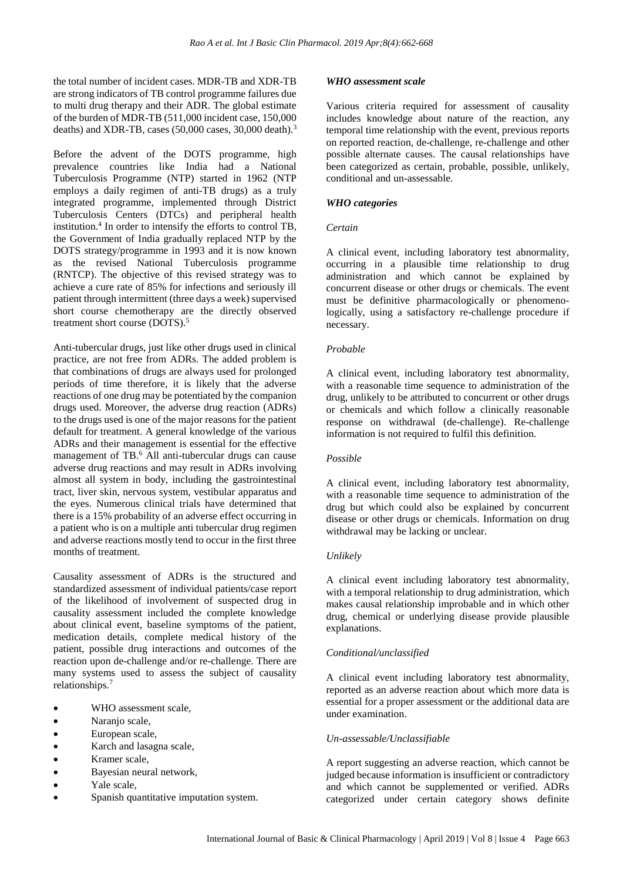the total number of incident cases. MDR-TB and XDR-TB are strong indicators of TB control programme failures due to multi drug therapy and their ADR. The global estimate of the burden of MDR-TB (511,000 incident case, 150,000 deaths) and XDR-TB, cases  $(50,000 \text{ cases}, 30,000 \text{ death})$ .<sup>3</sup>

Before the advent of the DOTS programme, high prevalence countries like India had a National Tuberculosis Programme (NTP) started in 1962 (NTP employs a daily regimen of anti-TB drugs) as a truly integrated programme, implemented through District Tuberculosis Centers (DTCs) and peripheral health institution.<sup>4</sup> In order to intensify the efforts to control TB, the Government of India gradually replaced NTP by the DOTS strategy/programme in 1993 and it is now known as the revised National Tuberculosis programme (RNTCP). The objective of this revised strategy was to achieve a cure rate of 85% for infections and seriously ill patient through intermittent (three days a week) supervised short course chemotherapy are the directly observed treatment short course (DOTS).<sup>5</sup>

Anti-tubercular drugs, just like other drugs used in clinical practice, are not free from ADRs. The added problem is that combinations of drugs are always used for prolonged periods of time therefore, it is likely that the adverse reactions of one drug may be potentiated by the companion drugs used. Moreover, the adverse drug reaction (ADRs) to the drugs used is one of the major reasons for the patient default for treatment. A general knowledge of the various ADRs and their management is essential for the effective management of TB.<sup>6</sup> All anti-tubercular drugs can cause adverse drug reactions and may result in ADRs involving almost all system in body, including the gastrointestinal tract, liver skin, nervous system, vestibular apparatus and the eyes. Numerous clinical trials have determined that there is a 15% probability of an adverse effect occurring in a patient who is on a multiple anti tubercular drug regimen and adverse reactions mostly tend to occur in the first three months of treatment.

Causality assessment of ADRs is the structured and standardized assessment of individual patients/case report of the likelihood of involvement of suspected drug in causality assessment included the complete knowledge about clinical event, baseline symptoms of the patient, medication details, complete medical history of the patient, possible drug interactions and outcomes of the reaction upon de-challenge and/or re-challenge. There are many systems used to assess the subject of causality relationships.<sup>7</sup>

- WHO assessment scale,
- Naranjo scale,
- European scale,
- Karch and lasagna scale,
- Kramer scale,
- Bayesian neural network,
- Yale scale,
- Spanish quantitative imputation system.

## *WHO assessment scale*

Various criteria required for assessment of causality includes knowledge about nature of the reaction, any temporal time relationship with the event, previous reports on reported reaction, de-challenge, re-challenge and other possible alternate causes. The causal relationships have been categorized as certain, probable, possible, unlikely, conditional and un-assessable.

## *WHO categories*

## *Certain*

A clinical event, including laboratory test abnormality, occurring in a plausible time relationship to drug administration and which cannot be explained by concurrent disease or other drugs or chemicals. The event must be definitive pharmacologically or phenomenologically, using a satisfactory re-challenge procedure if necessary.

### *Probable*

A clinical event, including laboratory test abnormality, with a reasonable time sequence to administration of the drug, unlikely to be attributed to concurrent or other drugs or chemicals and which follow a clinically reasonable response on withdrawal (de-challenge). Re-challenge information is not required to fulfil this definition.

## *Possible*

A clinical event, including laboratory test abnormality, with a reasonable time sequence to administration of the drug but which could also be explained by concurrent disease or other drugs or chemicals. Information on drug withdrawal may be lacking or unclear.

## *Unlikely*

A clinical event including laboratory test abnormality, with a temporal relationship to drug administration, which makes causal relationship improbable and in which other drug, chemical or underlying disease provide plausible explanations.

## *Conditional/unclassified*

A clinical event including laboratory test abnormality, reported as an adverse reaction about which more data is essential for a proper assessment or the additional data are under examination.

## *Un-assessable/Unclassifiable*

A report suggesting an adverse reaction, which cannot be judged because information is insufficient or contradictory and which cannot be supplemented or verified. ADRs categorized under certain category shows definite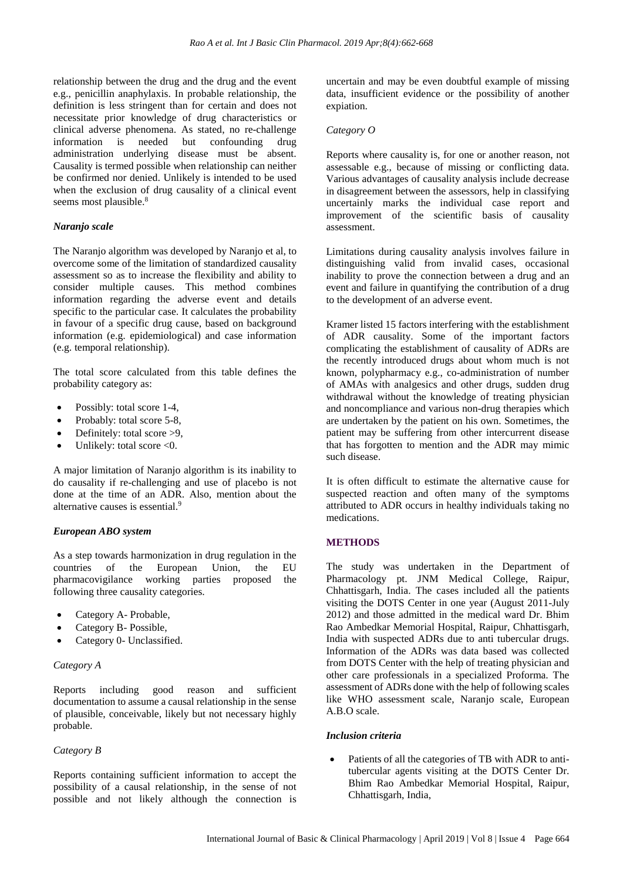relationship between the drug and the drug and the event e.g., penicillin anaphylaxis. In probable relationship, the definition is less stringent than for certain and does not necessitate prior knowledge of drug characteristics or clinical adverse phenomena. As stated, no re-challenge information is needed but confounding drug administration underlying disease must be absent. Causality is termed possible when relationship can neither be confirmed nor denied. Unlikely is intended to be used when the exclusion of drug causality of a clinical event seems most plausible.<sup>8</sup>

### *Naranjo scale*

The Naranjo algorithm was developed by Naranjo et al, to overcome some of the limitation of standardized causality assessment so as to increase the flexibility and ability to consider multiple causes. This method combines information regarding the adverse event and details specific to the particular case. It calculates the probability in favour of a specific drug cause, based on background information (e.g. epidemiological) and case information (e.g. temporal relationship).

The total score calculated from this table defines the probability category as:

- Possibly: total score 1-4,
- Probably: total score 5-8,
- Definitely: total score >9,
- Unlikely: total score  $< 0$ .

A major limitation of Naranjo algorithm is its inability to do causality if re-challenging and use of placebo is not done at the time of an ADR. Also, mention about the alternative causes is essential.<sup>9</sup>

#### *European ABO system*

As a step towards harmonization in drug regulation in the countries of the European Union, the EU pharmacovigilance working parties proposed the following three causality categories.

- Category A- Probable,
- Category B- Possible,
- Category 0- Unclassified.

#### *Category A*

Reports including good reason and sufficient documentation to assume a causal relationship in the sense of plausible, conceivable, likely but not necessary highly probable.

#### *Category B*

Reports containing sufficient information to accept the possibility of a causal relationship, in the sense of not possible and not likely although the connection is uncertain and may be even doubtful example of missing data, insufficient evidence or the possibility of another expiation.

### *Category O*

Reports where causality is, for one or another reason, not assessable e.g., because of missing or conflicting data. Various advantages of causality analysis include decrease in disagreement between the assessors, help in classifying uncertainly marks the individual case report and improvement of the scientific basis of causality assessment.

Limitations during causality analysis involves failure in distinguishing valid from invalid cases, occasional inability to prove the connection between a drug and an event and failure in quantifying the contribution of a drug to the development of an adverse event.

Kramer listed 15 factors interfering with the establishment of ADR causality. Some of the important factors complicating the establishment of causality of ADRs are the recently introduced drugs about whom much is not known, polypharmacy e.g., co-administration of number of AMAs with analgesics and other drugs, sudden drug withdrawal without the knowledge of treating physician and noncompliance and various non-drug therapies which are undertaken by the patient on his own. Sometimes, the patient may be suffering from other intercurrent disease that has forgotten to mention and the ADR may mimic such disease.

It is often difficult to estimate the alternative cause for suspected reaction and often many of the symptoms attributed to ADR occurs in healthy individuals taking no medications.

## **METHODS**

The study was undertaken in the Department of Pharmacology pt. JNM Medical College, Raipur, Chhattisgarh, India. The cases included all the patients visiting the DOTS Center in one year (August 2011-July 2012) and those admitted in the medical ward Dr. Bhim Rao Ambedkar Memorial Hospital, Raipur, Chhattisgarh, India with suspected ADRs due to anti tubercular drugs. Information of the ADRs was data based was collected from DOTS Center with the help of treating physician and other care professionals in a specialized Proforma. The assessment of ADRs done with the help of following scales like WHO assessment scale, Naranjo scale, European A.B.O scale.

#### *Inclusion criteria*

• Patients of all the categories of TB with ADR to antitubercular agents visiting at the DOTS Center Dr. Bhim Rao Ambedkar Memorial Hospital, Raipur, Chhattisgarh, India,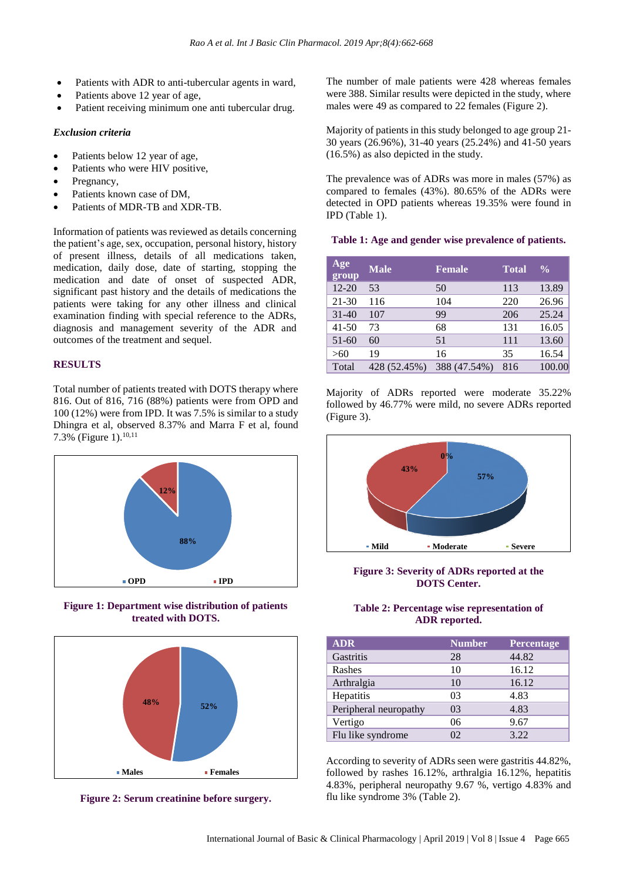- Patients with ADR to anti-tubercular agents in ward,
- Patients above 12 year of age,
- Patient receiving minimum one anti tubercular drug.

#### *Exclusion criteria*

- Patients below 12 year of age,
- Patients who were HIV positive,
- Pregnancy,
- Patients known case of DM,
- Patients of MDR-TB and XDR-TB.

Information of patients was reviewed as details concerning the patient's age, sex, occupation, personal history, history of present illness, details of all medications taken, medication, daily dose, date of starting, stopping the medication and date of onset of suspected ADR, significant past history and the details of medications the patients were taking for any other illness and clinical examination finding with special reference to the ADRs, diagnosis and management severity of the ADR and outcomes of the treatment and sequel.

## **RESULTS**

Total number of patients treated with DOTS therapy where 816. Out of 816, 716 (88%) patients were from OPD and 100 (12%) were from IPD. It was 7.5% is similar to a study Dhingra et al, observed 8.37% and Marra F et al, found 7.3% (Figure 1). 10,11



**Figure 1: Department wise distribution of patients treated with DOTS.**



**Figure 2: Serum creatinine before surgery.**

The number of male patients were 428 whereas females were 388. Similar results were depicted in the study, where males were 49 as compared to 22 females (Figure 2).

Majority of patients in this study belonged to age group 21- 30 years (26.96%), 31-40 years (25.24%) and 41-50 years (16.5%) as also depicted in the study.

The prevalence was of ADRs was more in males (57%) as compared to females (43%). 80.65% of the ADRs were detected in OPD patients whereas 19.35% were found in IPD (Table 1).

#### **Table 1: Age and gender wise prevalence of patients.**

| Age<br>group | <b>Male</b>  | <b>Female</b> | <b>Total</b> | $\frac{0}{0}$ |
|--------------|--------------|---------------|--------------|---------------|
| $12 - 20$    | 53           | 50            | 113          | 13.89         |
| $21 - 30$    | 116          | 104           | 220          | 26.96         |
| $31 - 40$    | 107          | 99            | 206          | 25.24         |
| $41 - 50$    | 73           | 68            | 131          | 16.05         |
| $51-60$      | 60           | 51            | 111          | 13.60         |
| >60          | 19           | 16            | 35           | 16.54         |
| Total        | 428 (52.45%) | 388 (47.54%)  | 816          | 100.00        |

Majority of ADRs reported were moderate 35.22% followed by 46.77% were mild, no severe ADRs reported (Figure 3).



**Figure 3: Severity of ADRs reported at the DOTS Center.**

## **Table 2: Percentage wise representation of ADR reported.**

| <b>ADR</b>            | <b>Number</b> | Percentage |
|-----------------------|---------------|------------|
| Gastritis             | 28            | 44.82      |
| Rashes                | 10            | 16.12      |
| Arthralgia            | 10            | 16.12      |
| Hepatitis             | 03            | 4.83       |
| Peripheral neuropathy | 03            | 4.83       |
| Vertigo               | 06            | 9.67       |
| Flu like syndrome     | 02            | 3.22       |

According to severity of ADRs seen were gastritis 44.82%, followed by rashes 16.12%, arthralgia 16.12%, hepatitis 4.83%, peripheral neuropathy 9.67 %, vertigo 4.83% and flu like syndrome 3% (Table 2).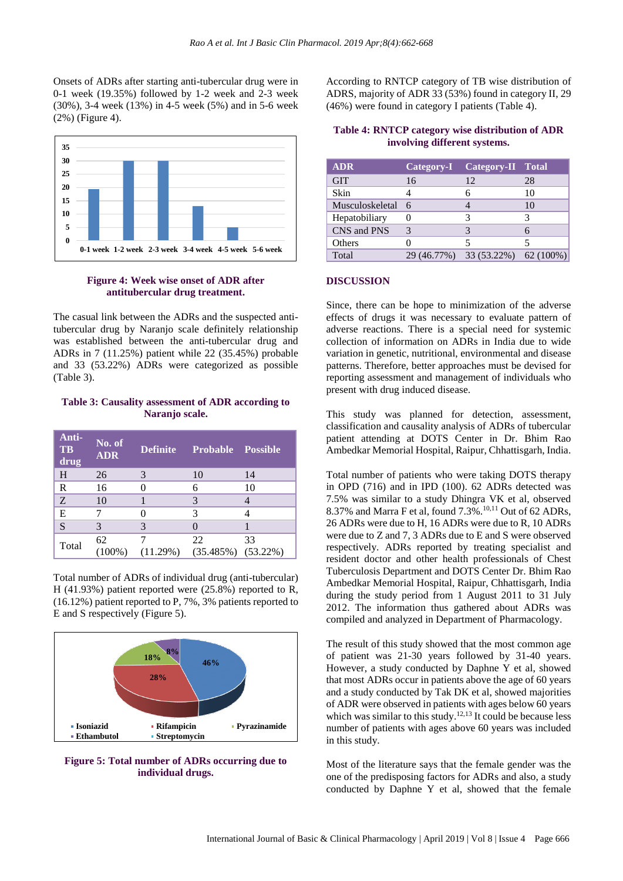Onsets of ADRs after starting anti-tubercular drug were in 0-1 week (19.35%) followed by 1-2 week and 2-3 week (30%), 3-4 week (13%) in 4-5 week (5%) and in 5-6 week (2%) (Figure 4).



#### **Figure 4: Week wise onset of ADR after antitubercular drug treatment.**

The casual link between the ADRs and the suspected antitubercular drug by Naranjo scale definitely relationship was established between the anti-tubercular drug and ADRs in 7 (11.25%) patient while 22 (35.45%) probable and 33 (53.22%) ADRs were categorized as possible (Table 3).

## **Table 3: Causality assessment of ADR according to Naranjo scale.**

| Anti-<br><b>TB</b><br>drug | No. of<br><b>ADR</b> | <b>Definite</b> | <b>Probable Possible</b>     |    |
|----------------------------|----------------------|-----------------|------------------------------|----|
| H                          | 26                   | 3               | 10                           | 14 |
| $\mathbf R$                | 16                   |                 | 6                            | 10 |
| Z                          | 10                   |                 | $\mathcal{E}$                |    |
| E                          |                      |                 | 3                            |    |
| S                          |                      | 3               |                              |    |
| Total                      | 62<br>(100%)         | 11.29%)         | 22<br>$(35.485%)$ $(53.22%)$ | 33 |

Total number of ADRs of individual drug (anti-tubercular) H (41.93%) patient reported were (25.8%) reported to R, (16.12%) patient reported to P, 7%, 3% patients reported to E and S respectively (Figure 5).





According to RNTCP category of TB wise distribution of ADRS, majority of ADR 33 (53%) found in category II, 29 (46%) were found in category I patients (Table 4).

## **Table 4: RNTCP category wise distribution of ADR involving different systems.**

| <b>ADR</b>        |               | Category-I Category-II Total      |    |
|-------------------|---------------|-----------------------------------|----|
| <b>GIT</b>        | 16            | 12                                | 28 |
| Skin              |               |                                   | 10 |
| Musculoskeletal 6 |               |                                   | 10 |
| Hepatobiliary     |               |                                   |    |
| CNS and PNS       | $\mathcal{R}$ |                                   |    |
| Others            |               |                                   |    |
| Total             |               | 29 (46.77%) 33 (53.22%) 62 (100%) |    |

## **DISCUSSION**

Since, there can be hope to minimization of the adverse effects of drugs it was necessary to evaluate pattern of adverse reactions. There is a special need for systemic collection of information on ADRs in India due to wide variation in genetic, nutritional, environmental and disease patterns. Therefore, better approaches must be devised for reporting assessment and management of individuals who present with drug induced disease.

This study was planned for detection, assessment, classification and causality analysis of ADRs of tubercular patient attending at DOTS Center in Dr. Bhim Rao Ambedkar Memorial Hospital, Raipur, Chhattisgarh, India.

Total number of patients who were taking DOTS therapy in OPD (716) and in IPD (100). 62 ADRs detected was 7.5% was similar to a study Dhingra VK et al, observed 8.37% and Marra F et al, found  $7.3\%$ ,  $^{10,11}$  Out of 62 ADRs, 26 ADRs were due to H, 16 ADRs were due to R, 10 ADRs were due to Z and 7, 3 ADRs due to E and S were observed respectively. ADRs reported by treating specialist and resident doctor and other health professionals of Chest Tuberculosis Department and DOTS Center Dr. Bhim Rao Ambedkar Memorial Hospital, Raipur, Chhattisgarh, India during the study period from 1 August 2011 to 31 July 2012. The information thus gathered about ADRs was compiled and analyzed in Department of Pharmacology.

The result of this study showed that the most common age of patient was 21-30 years followed by 31-40 years. However, a study conducted by Daphne Y et al, showed that most ADRs occur in patients above the age of 60 years and a study conducted by Tak DK et al, showed majorities of ADR were observed in patients with ages below 60 years which was similar to this study.<sup>12,13</sup> It could be because less number of patients with ages above 60 years was included in this study.

Most of the literature says that the female gender was the one of the predisposing factors for ADRs and also, a study conducted by Daphne Y et al, showed that the female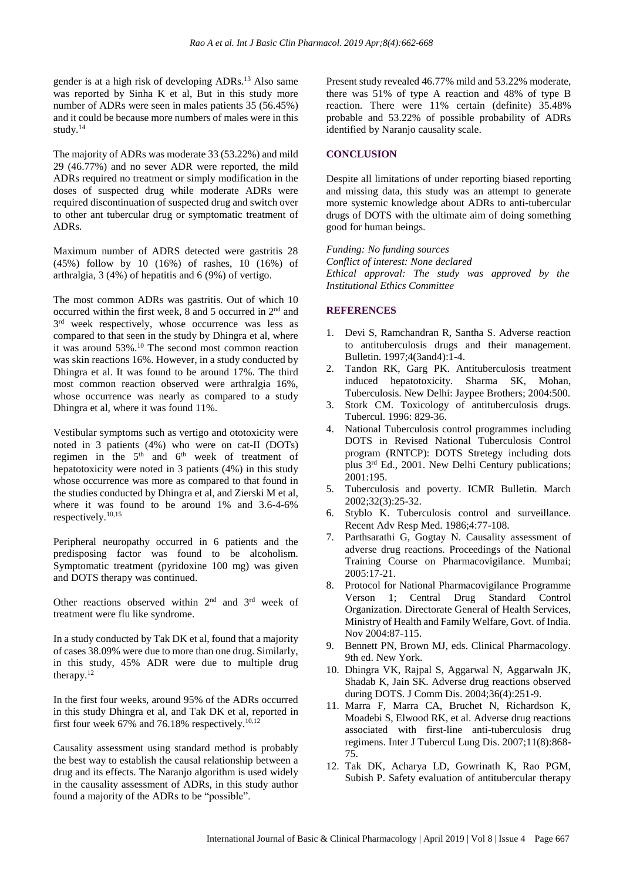gender is at a high risk of developing ADRs.<sup>13</sup> Also same was reported by Sinha K et al, But in this study more number of ADRs were seen in males patients 35 (56.45%) and it could be because more numbers of males were in this study.<sup>14</sup>

The majority of ADRs was moderate 33 (53.22%) and mild 29 (46.77%) and no sever ADR were reported, the mild ADRs required no treatment or simply modification in the doses of suspected drug while moderate ADRs were required discontinuation of suspected drug and switch over to other ant tubercular drug or symptomatic treatment of ADRs.

Maximum number of ADRS detected were gastritis 28 (45%) follow by 10 (16%) of rashes, 10 (16%) of arthralgia, 3 (4%) of hepatitis and 6 (9%) of vertigo.

The most common ADRs was gastritis. Out of which 10 occurred within the first week, 8 and 5 occurred in 2<sup>nd</sup> and 3<sup>rd</sup> week respectively, whose occurrence was less as compared to that seen in the study by Dhingra et al, where it was around 53%.<sup>10</sup> The second most common reaction was skin reactions 16%. However, in a study conducted by Dhingra et al. It was found to be around 17%. The third most common reaction observed were arthralgia 16%, whose occurrence was nearly as compared to a study Dhingra et al, where it was found 11%.

Vestibular symptoms such as vertigo and ototoxicity were noted in 3 patients (4%) who were on cat-II (DOTs) regimen in the  $5<sup>th</sup>$  and  $6<sup>th</sup>$  week of treatment of hepatotoxicity were noted in 3 patients (4%) in this study whose occurrence was more as compared to that found in the studies conducted by Dhingra et al, and Zierski M et al, where it was found to be around 1% and 3.6-4-6% respectively.10,15

Peripheral neuropathy occurred in 6 patients and the predisposing factor was found to be alcoholism. Symptomatic treatment (pyridoxine 100 mg) was given and DOTS therapy was continued.

Other reactions observed within 2<sup>nd</sup> and 3<sup>rd</sup> week of treatment were flu like syndrome.

In a study conducted by Tak DK et al, found that a majority of cases 38.09% were due to more than one drug. Similarly, in this study, 45% ADR were due to multiple drug therapy.<sup>12</sup>

In the first four weeks, around 95% of the ADRs occurred in this study Dhingra et al, and Tak DK et al, reported in first four week 67% and 76.18% respectively.<sup>10,12</sup>

Causality assessment using standard method is probably the best way to establish the causal relationship between a drug and its effects. The Naranjo algorithm is used widely in the causality assessment of ADRs, in this study author found a majority of the ADRs to be "possible".

Present study revealed 46.77% mild and 53.22% moderate, there was 51% of type A reaction and 48% of type B reaction. There were 11% certain (definite) 35.48% probable and 53.22% of possible probability of ADRs identified by Naranjo causality scale.

#### **CONCLUSION**

Despite all limitations of under reporting biased reporting and missing data, this study was an attempt to generate more systemic knowledge about ADRs to anti-tubercular drugs of DOTS with the ultimate aim of doing something good for human beings.

*Funding: No funding sources Conflict of interest: None declared Ethical approval: The study was approved by the Institutional Ethics Committee*

#### **REFERENCES**

- 1. Devi S, Ramchandran R, Santha S. Adverse reaction to antituberculosis drugs and their management. Bulletin. 1997;4(3and4):1-4.
- 2. Tandon RK, Garg PK. Antituberculosis treatment induced hepatotoxicity. Sharma SK, Mohan, Tuberculosis. New Delhi: Jaypee Brothers; 2004:500.
- 3. Stork CM. Toxicology of antituberculosis drugs. Tubercul. 1996: 829-36.
- 4. National Tuberculosis control programmes including DOTS in Revised National Tuberculosis Control program (RNTCP): DOTS Stretegy including dots plus 3<sup>rd</sup> Ed., 2001. New Delhi Century publications; 2001:195.
- 5. Tuberculosis and poverty. ICMR Bulletin. March 2002;32(3):25-32.
- 6. Styblo K. Tuberculosis control and surveillance. Recent Adv Resp Med. 1986;4:77-108.
- 7. Parthsarathi G, Gogtay N. Causality assessment of adverse drug reactions. Proceedings of the National Training Course on Pharmacovigilance. Mumbai; 2005:17-21.
- 8. Protocol for National Pharmacovigilance Programme Verson 1; Central Drug Standard Control Organization. Directorate General of Health Services, Ministry of Health and Family Welfare, Govt. of India. Nov 2004:87-115.
- 9. Bennett PN, Brown MJ, eds. Clinical Pharmacology. 9th ed. New York.
- 10. Dhingra VK, Rajpal S, Aggarwal N, Aggarwaln JK, Shadab K, Jain SK. Adverse drug reactions observed during DOTS. J Comm Dis. 2004;36(4):251-9.
- 11. Marra F, Marra CA, Bruchet N, Richardson K, Moadebi S, Elwood RK, et al. Adverse drug reactions associated with first-line anti-tuberculosis drug regimens. Inter J Tubercul Lung Dis. 2007;11(8):868- 75.
- 12. Tak DK, Acharya LD, Gowrinath K, Rao PGM, Subish P. Safety evaluation of antitubercular therapy